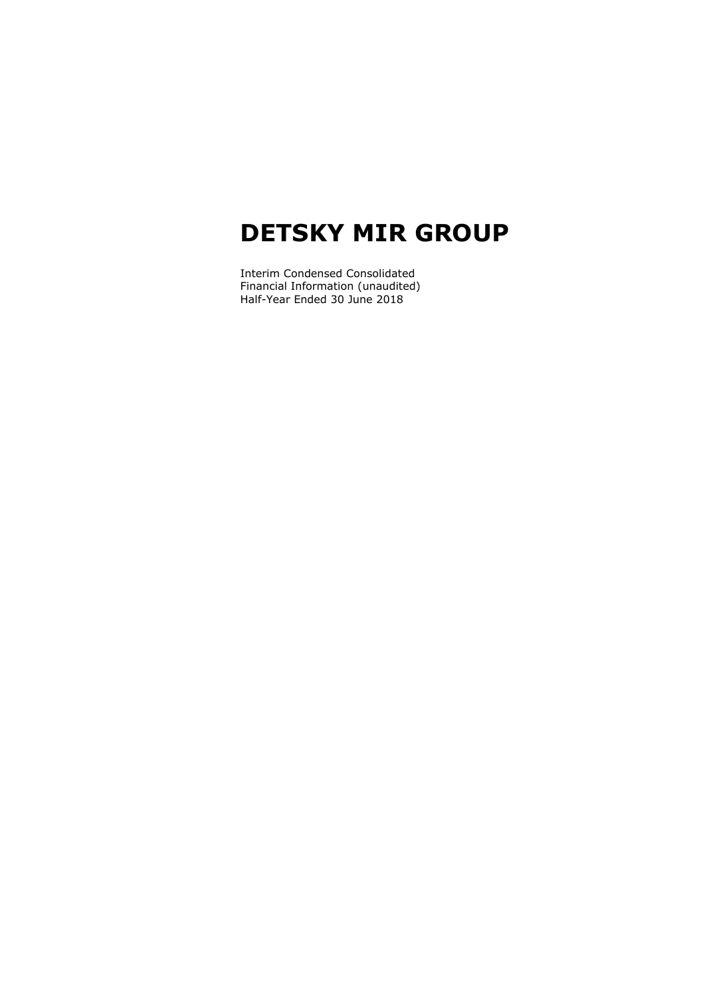Interim Condensed Consolidated Financial Information (unaudited) Half-Year Ended 30 June 2018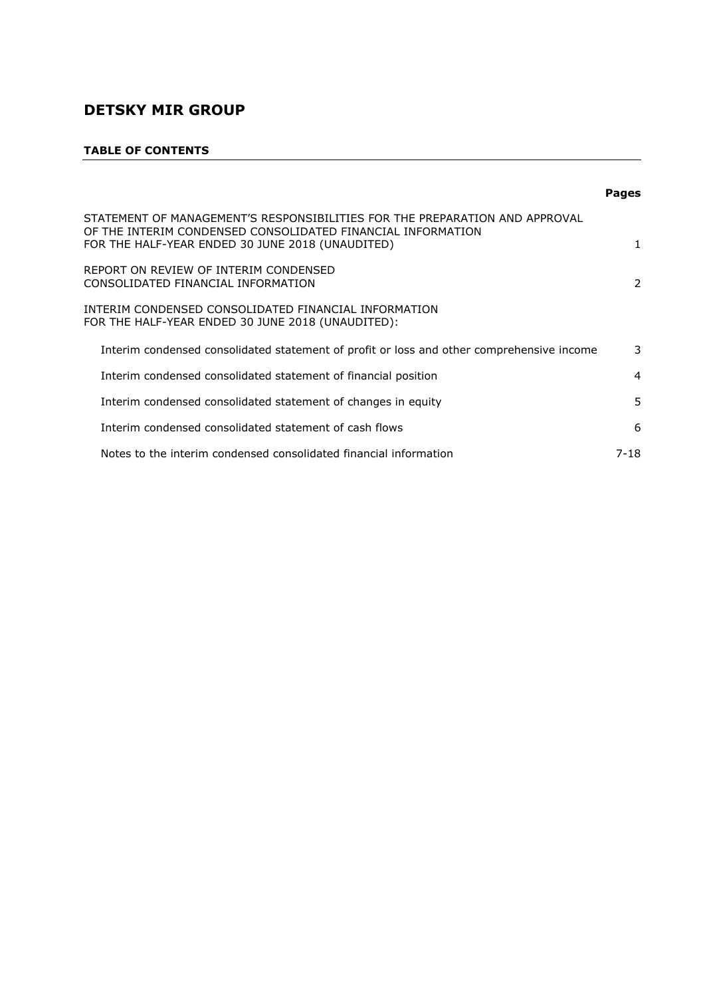#### **TABLE OF CONTENTS**

|                                                                                                                                                                                                | <b>Pages</b>   |
|------------------------------------------------------------------------------------------------------------------------------------------------------------------------------------------------|----------------|
| STATEMENT OF MANAGEMENT'S RESPONSIBILITIES FOR THE PREPARATION AND APPROVAL<br>OF THE INTERIM CONDENSED CONSOLIDATED FINANCIAL INFORMATION<br>FOR THE HALF-YEAR ENDED 30 JUNE 2018 (UNAUDITED) |                |
| REPORT ON REVIEW OF INTERIM CONDENSED<br>CONSOLIDATED FINANCIAL INFORMATION                                                                                                                    | 2              |
| INTERIM CONDENSED CONSOLIDATED FINANCIAL INFORMATION<br>FOR THE HALF-YEAR ENDED 30 JUNE 2018 (UNAUDITED):                                                                                      |                |
| Interim condensed consolidated statement of profit or loss and other comprehensive income                                                                                                      | 3              |
| Interim condensed consolidated statement of financial position                                                                                                                                 | $\overline{4}$ |
| Interim condensed consolidated statement of changes in equity                                                                                                                                  | 5              |
| Interim condensed consolidated statement of cash flows                                                                                                                                         | 6              |
| Notes to the interim condensed consolidated financial information                                                                                                                              | $7 - 18$       |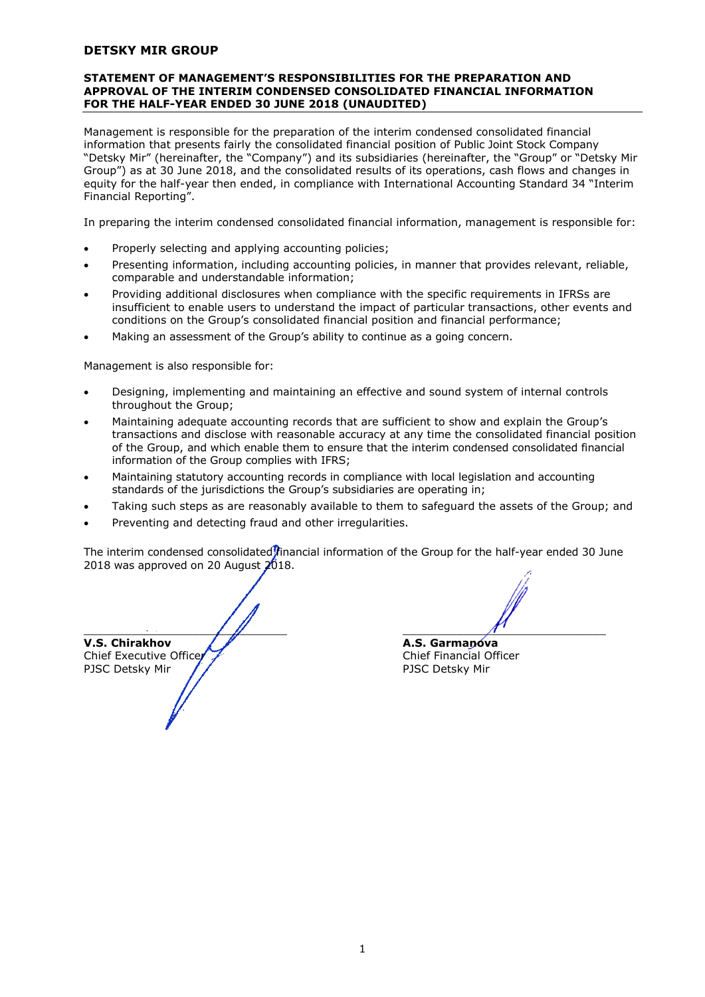#### **STATEMENT OF MANAGEMENT'S RESPONSIBILITIES FOR THE PREPARATION AND APPROVAL OF THE INTERIM CONDENSED CONSOLIDATED FINANCIAL INFORMATION FOR THE HALF-YEAR ENDED 30 JUNE 2018 (UNAUDITED)**

Management is responsible for the preparation of the interim condensed consolidated financial information that presents fairly the consolidated financial position of Public Joint Stock Company "Detsky Mir" (hereinafter, the "Company") and its subsidiaries (hereinafter, the "Group" or "Detsky Mir Group") as at 30 June 2018, and the consolidated results of its operations, cash flows and changes in equity for the half-year then ended, in compliance with International Accounting Standard 34 "Interim Financial Reporting".

In preparing the interim condensed consolidated financial information, management is responsible for:

- Properly selecting and applying accounting policies;
- Presenting information, including accounting policies, in manner that provides relevant, reliable, comparable and understandable information;
- Providing additional disclosures when compliance with the specific requirements in IFRSs are insufficient to enable users to understand the impact of particular transactions, other events and conditions on the Group's consolidated financial position and financial performance;
- Making an assessment of the Group's ability to continue as a going concern.

Management is also responsible for:

- Designing, implementing and maintaining an effective and sound system of internal controls throughout the Group;
- Maintaining adequate accounting records that are sufficient to show and explain the Group's transactions and disclose with reasonable accuracy at any time the consolidated financial position of the Group, and which enable them to ensure that the interim condensed consolidated financial information of the Group complies with IFRS;
- Maintaining statutory accounting records in compliance with local legislation and accounting standards of the jurisdictions the Group's subsidiaries are operating in;
- Taking such steps as are reasonably available to them to safeguard the assets of the Group; and
- Preventing and detecting fraud and other irregularities.

The interim condensed consolidated financial information of the Group for the half-year ended 30 June 2018 was approved on 20 August 2018.

 $\overline{\phantom{a}}$  ,  $\overline{\phantom{a}}$  ,  $\overline{\phantom{a}}$  ,  $\overline{\phantom{a}}$  ,  $\overline{\phantom{a}}$  ,  $\overline{\phantom{a}}$  ,  $\overline{\phantom{a}}$  ,  $\overline{\phantom{a}}$  ,  $\overline{\phantom{a}}$  ,  $\overline{\phantom{a}}$  ,  $\overline{\phantom{a}}$  ,  $\overline{\phantom{a}}$  ,  $\overline{\phantom{a}}$  ,  $\overline{\phantom{a}}$  ,  $\overline{\phantom{a}}$  ,  $\overline{\phantom{a}}$ **V.S. Chirakhov A.S. Garmanova** Chief Executive Officer Chief Financial Officer PJSC Detsky Mir // PJSC Detsky Mir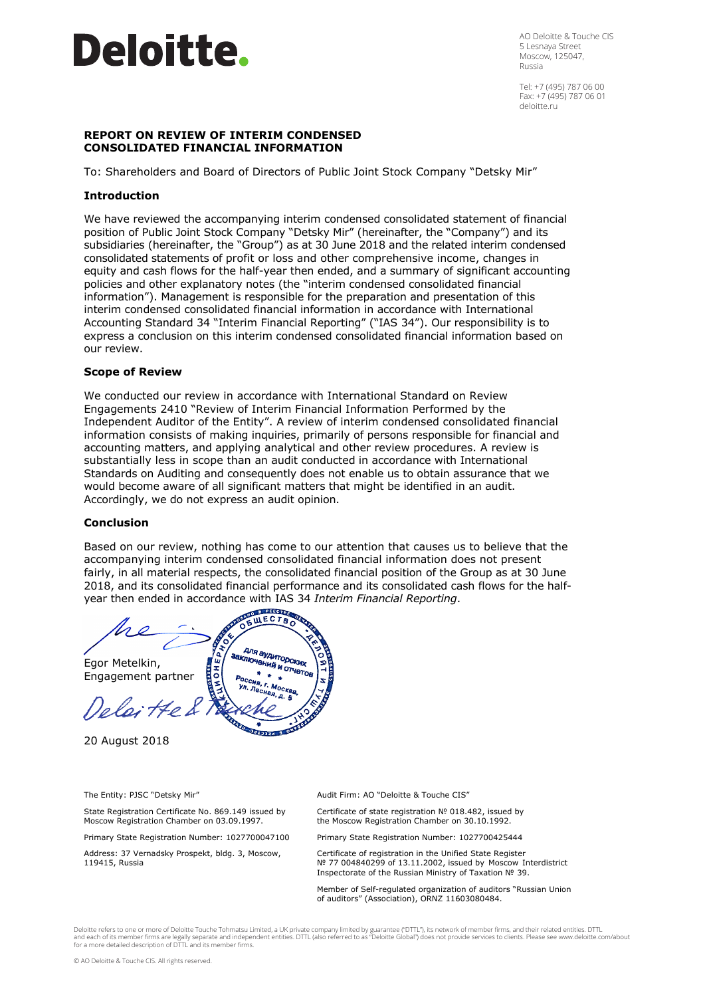# **Deloitte.**

AO Deloitte & Touche CIS 5 Lesnaya Street Moscow, 125047, Russia

Tel: +7 (495) 787 06 00 Fax: +7 (495) 787 06 01 deloitte.ru

#### **REPORT ON REVIEW OF INTERIM CONDENSED CONSOLIDATED FINANCIAL INFORMATION**

To: Shareholders and Board of Directors of Public Joint Stock Company "Detsky Mir"

#### **Introduction**

We have reviewed the accompanying interim condensed consolidated statement of financial position of Public Joint Stock Company "Detsky Mir" (hereinafter, the "Company") and its subsidiaries (hereinafter, the "Group") as at 30 June 2018 and the related interim condensed consolidated statements of profit or loss and other comprehensive income, changes in equity and cash flows for the half-year then ended, and a summary of significant accounting policies and other explanatory notes (the "interim condensed consolidated financial information"). Management is responsible for the preparation and presentation of this interim condensed consolidated financial information in accordance with International Accounting Standard 34 "Interim Financial Reporting" ("IAS 34"). Our responsibility is to express a conclusion on this interim condensed consolidated financial information based on our review.

#### **Scope of Review**

We conducted our review in accordance with International Standard on Review Engagements 2410 "Review of Interim Financial Information Performed by the Independent Auditor of the Entity". A review of interim condensed consolidated financial information consists of making inquiries, primarily of persons responsible for financial and accounting matters, and applying analytical and other review procedures. A review is substantially less in scope than an audit conducted in accordance with International Standards on Auditing and consequently does not enable us to obtain assurance that we would become aware of all significant matters that might be identified in an audit. Accordingly, we do not express an audit opinion.

#### **Conclusion**

Based on our review, nothing has come to our attention that causes us to believe that the accompanying interim condensed consolidated financial information does not present fairly, in all material respects, the consolidated financial position of the Group as at 30 June 2018, and its consolidated financial performance and its consolidated cash flows for the halfyear then ended in accordance with IAS 34 *Interim Financial Reporting*.

**WECTBO** для аудиторских<br>пючений и стах **IKTIGRAY AVAITODCKANX**<br>**IKTIO4GHHAG H OT4GTOB** a. Egor Metelkin, Engagement partner laitte & 3019334 8 OH

20 August 2018

The Entity: PJSC "Detsky Mir"

State Registration Certificate No. 869.149 issued by Moscow Registration Chamber on 03.09.1997.

Primary State Registration Number: 1027700047100

Address: 37 Vernadsky Prospekt, bldg. 3, Moscow, 119415, Russia

Audit Firm: AO "Deloitte & Touche CIS"

Certificate of state registration № 018.482, issued by the Moscow Registration Chamber on 30.10.1992.

Primary State Registration Number: 1027700425444

Certificate of registration in the Unified State Register № 77 004840299 of 13.11.2002, issued by Moscow Interdistrict Inspectorate of the Russian Ministry of Taxation № 39.

Member of Self-regulated organization of auditors "Russian Union of auditors" (Association), ORNZ 11603080484.

Deloitte refers to one or more of Deloitte Touche Tohmatsu Limited, a UK private company limited by guarantee ("DTTL"), its network of member firms, and their related entities. DTTL and each of its member firms are legally separate and independent entities. DTTL (also referred to as "Deloitte Global") does not provide services to clients. Please see www.deloitte.com/about<br>for a more detailed descripti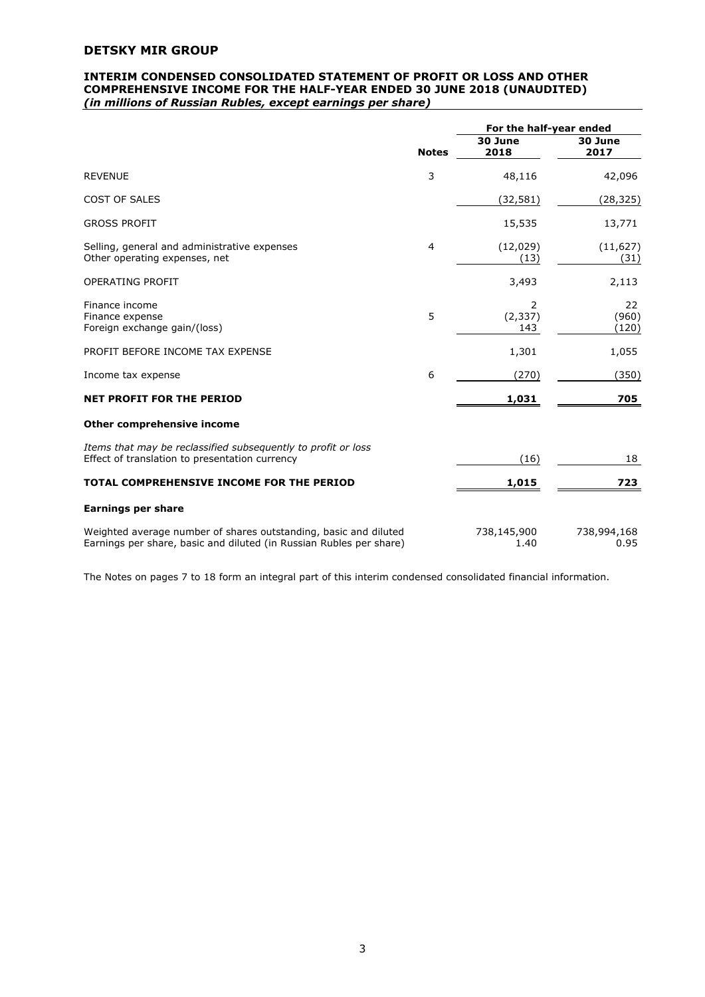#### **INTERIM CONDENSED CONSOLIDATED STATEMENT OF PROFIT OR LOSS AND OTHER COMPREHENSIVE INCOME FOR THE HALF-YEAR ENDED 30 JUNE 2018 (UNAUDITED)** *(in millions of Russian Rubles, except earnings per share)*

|                                                                                                                                         |              | For the half-year ended |                      |
|-----------------------------------------------------------------------------------------------------------------------------------------|--------------|-------------------------|----------------------|
|                                                                                                                                         | <b>Notes</b> | 30 June<br>2018         | 30 June<br>2017      |
| <b>REVENUE</b>                                                                                                                          | 3            | 48,116                  | 42,096               |
| <b>COST OF SALES</b>                                                                                                                    |              | (32, 581)               | (28, 325)            |
| <b>GROSS PROFIT</b>                                                                                                                     |              | 15,535                  | 13,771               |
| Selling, general and administrative expenses<br>Other operating expenses, net                                                           | 4            | (12, 029)<br>(13)       | (11, 627)<br>(31)    |
| <b>OPERATING PROFIT</b>                                                                                                                 |              | 3,493                   | 2,113                |
| Finance income<br>Finance expense<br>Foreign exchange gain/(loss)                                                                       | 5            | 2<br>(2, 337)<br>143    | 22<br>(960)<br>(120) |
| PROFIT BEFORE INCOME TAX EXPENSE                                                                                                        |              | 1,301                   | 1,055                |
| Income tax expense                                                                                                                      | 6            | (270)                   | (350)                |
| <b>NET PROFIT FOR THE PERIOD</b>                                                                                                        |              | 1,031                   | 705                  |
| Other comprehensive income                                                                                                              |              |                         |                      |
| Items that may be reclassified subsequently to profit or loss<br>Effect of translation to presentation currency                         |              | (16)                    | 18                   |
| TOTAL COMPREHENSIVE INCOME FOR THE PERIOD                                                                                               |              | 1,015                   | 723                  |
| <b>Earnings per share</b>                                                                                                               |              |                         |                      |
| Weighted average number of shares outstanding, basic and diluted<br>Earnings per share, basic and diluted (in Russian Rubles per share) |              | 738,145,900<br>1.40     | 738,994,168<br>0.95  |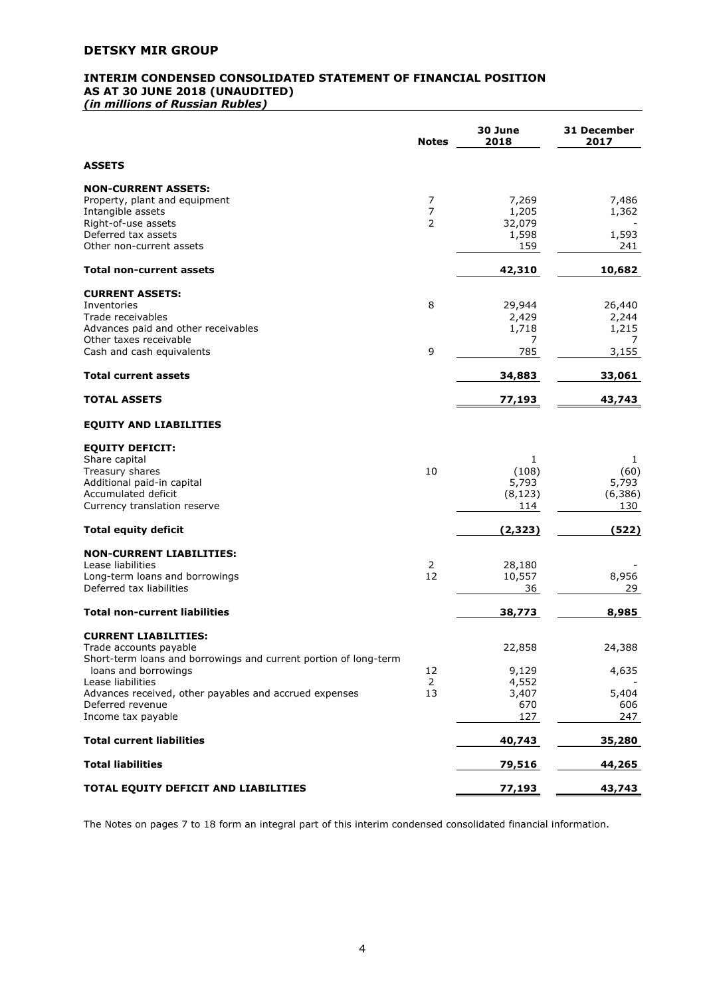# **INTERIM CONDENSED CONSOLIDATED STATEMENT OF FINANCIAL POSITION AS AT 30 JUNE 2018 (UNAUDITED)**

*(in millions of Russian Rubles)*

|                                                                                          | <b>Notes</b>        | 30 June<br>2018 | 31 December<br>2017 |
|------------------------------------------------------------------------------------------|---------------------|-----------------|---------------------|
| <b>ASSETS</b>                                                                            |                     |                 |                     |
| <b>NON-CURRENT ASSETS:</b>                                                               |                     |                 |                     |
| Property, plant and equipment                                                            | 7                   | 7,269           | 7,486               |
| Intangible assets<br>Right-of-use assets                                                 | $\overline{7}$<br>2 | 1,205<br>32,079 | 1,362               |
| Deferred tax assets                                                                      |                     | 1,598           | 1,593               |
| Other non-current assets                                                                 |                     | 159             | 241                 |
| <b>Total non-current assets</b>                                                          |                     | 42,310          | 10,682              |
| <b>CURRENT ASSETS:</b>                                                                   |                     |                 |                     |
| Inventories                                                                              | 8                   | 29,944          | 26,440              |
| Trade receivables                                                                        |                     | 2,429           | 2,244               |
| Advances paid and other receivables                                                      |                     | 1,718           | 1,215               |
| Other taxes receivable<br>Cash and cash equivalents                                      | 9                   | 7<br>785        | $\prime$<br>3,155   |
| <b>Total current assets</b>                                                              |                     | 34,883          | 33,061              |
| <b>TOTAL ASSETS</b>                                                                      |                     |                 | 43,743              |
|                                                                                          |                     | 77,193          |                     |
| <b>EQUITY AND LIABILITIES</b>                                                            |                     |                 |                     |
| <b>EQUITY DEFICIT:</b>                                                                   |                     |                 |                     |
| Share capital                                                                            |                     | 1               | 1                   |
| Treasury shares                                                                          | 10                  | (108)<br>5,793  | (60)<br>5,793       |
| Additional paid-in capital<br>Accumulated deficit                                        |                     | (8, 123)        | (6,386)             |
| Currency translation reserve                                                             |                     | 114             | 130                 |
| <b>Total equity deficit</b>                                                              |                     | (2, 323)        | (522)               |
| <b>NON-CURRENT LIABILITIES:</b>                                                          |                     |                 |                     |
| Lease liabilities                                                                        | 2                   | 28,180          |                     |
| Long-term loans and borrowings                                                           | 12                  | 10,557          | 8,956               |
| Deferred tax liabilities                                                                 |                     | 36              | 29                  |
| <b>Total non-current liabilities</b>                                                     |                     | 38,773          | 8,985               |
| <b>CURRENT LIABILITIES:</b>                                                              |                     |                 |                     |
| Trade accounts payable                                                                   |                     | 22,858          | 24,388              |
| Short-term loans and borrowings and current portion of long-term<br>loans and borrowings | 12                  | 9,129           | 4,635               |
| Lease liabilities                                                                        | $\overline{2}$      | 4,552           |                     |
| Advances received, other payables and accrued expenses                                   | 13                  | 3,407           | 5,404               |
| Deferred revenue                                                                         |                     | 670             | 606                 |
| Income tax payable                                                                       |                     | 127             | 247                 |
| <b>Total current liabilities</b>                                                         |                     | 40,743          | 35,280              |
| <b>Total liabilities</b>                                                                 |                     | 79,516          | 44,265              |
| TOTAL EQUITY DEFICIT AND LIABILITIES                                                     |                     | 77,193          | 43,743              |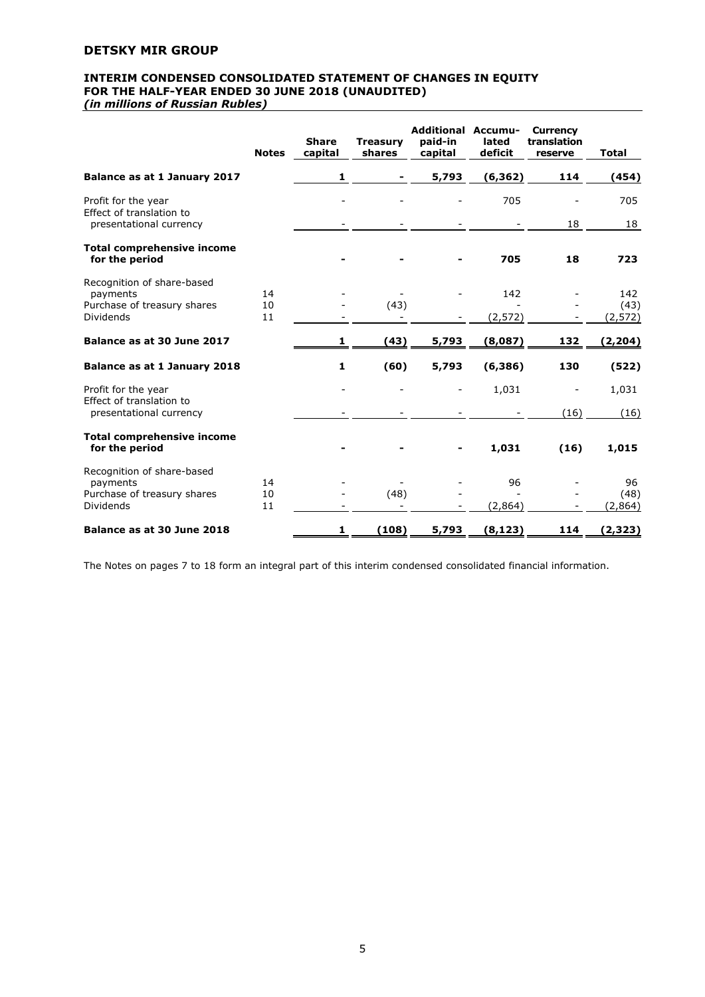### **INTERIM CONDENSED CONSOLIDATED STATEMENT OF CHANGES IN EQUITY FOR THE HALF-YEAR ENDED 30 JUNE 2018 (UNAUDITED)**

*(in millions of Russian Rubles)*

|                                                     | <b>Notes</b> | <b>Share</b><br>capital | <b>Treasury</b><br>shares        | <b>Additional Accumu-</b><br>paid-in<br>capital | lated<br>deficit | <b>Currency</b><br>translation<br>reserve | <b>Total</b>     |
|-----------------------------------------------------|--------------|-------------------------|----------------------------------|-------------------------------------------------|------------------|-------------------------------------------|------------------|
| Balance as at 1 January 2017                        |              | $\mathbf{1}$            |                                  | 5,793                                           | (6, 362)         | 114                                       | (454)            |
| Profit for the year<br>Effect of translation to     |              |                         |                                  |                                                 | 705              |                                           | 705              |
| presentational currency                             |              |                         |                                  |                                                 |                  | 18                                        | 18               |
| <b>Total comprehensive income</b><br>for the period |              |                         |                                  |                                                 | 705              | 18                                        | 723              |
| Recognition of share-based                          |              |                         |                                  |                                                 |                  |                                           |                  |
| payments                                            | 14           |                         |                                  |                                                 | 142              |                                           | 142              |
| Purchase of treasury shares<br><b>Dividends</b>     | 10<br>11     |                         | (43)<br>$\overline{\phantom{a}}$ |                                                 | (2, 572)         |                                           | (43)<br>(2, 572) |
| Balance as at 30 June 2017                          |              | 1                       | (43)                             | 5,793                                           | (8,087)          | 132                                       | (2, 204)         |
| Balance as at 1 January 2018                        |              | $\mathbf{1}$            | (60)                             | 5,793                                           | (6, 386)         | 130                                       | (522)            |
| Profit for the year                                 |              |                         |                                  |                                                 | 1,031            |                                           | 1,031            |
| Effect of translation to<br>presentational currency |              |                         |                                  |                                                 |                  | (16)                                      | (16)             |
| <b>Total comprehensive income</b>                   |              |                         |                                  |                                                 |                  |                                           |                  |
| for the period                                      |              |                         |                                  |                                                 | 1,031            | (16)                                      | 1,015            |
| Recognition of share-based                          |              |                         |                                  |                                                 |                  |                                           |                  |
| payments                                            | 14           |                         |                                  |                                                 | 96               |                                           | 96               |
| Purchase of treasury shares<br><b>Dividends</b>     | 10<br>11     |                         | (48)                             |                                                 | (2,864)          |                                           | (48)<br>(2, 864) |
| Balance as at 30 June 2018                          |              | 1                       | (108)                            | 5,793                                           | (8, 123)         | 114                                       | (2, 323)         |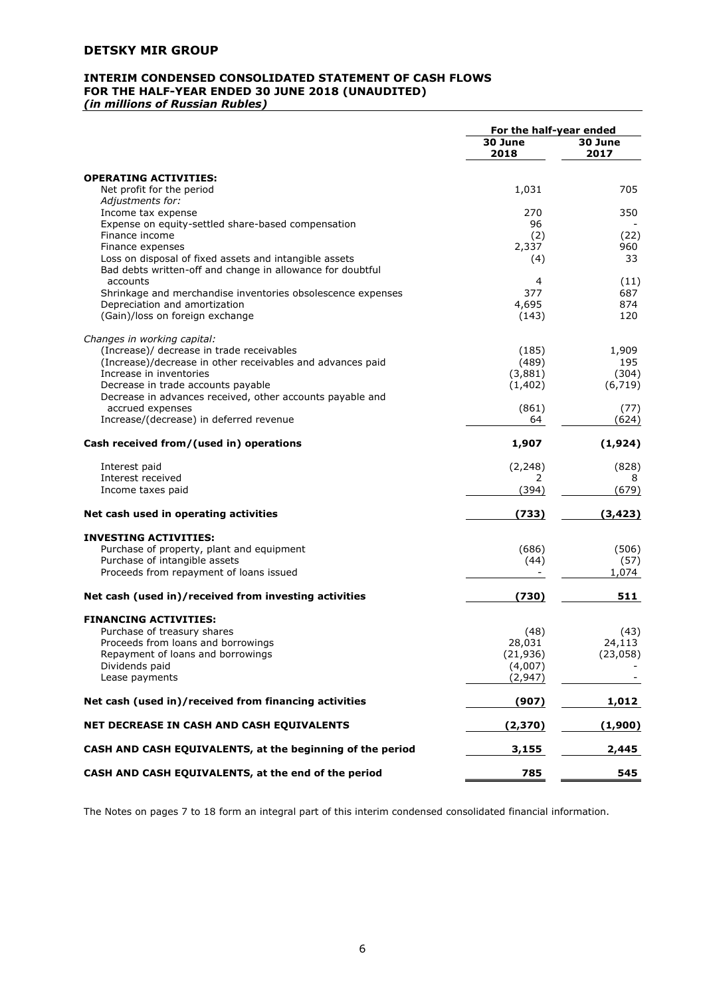## **INTERIM CONDENSED CONSOLIDATED STATEMENT OF CASH FLOWS FOR THE HALF-YEAR ENDED 30 JUNE 2018 (UNAUDITED)**

*(in millions of Russian Rubles)*

|                                                                                              | For the half-year ended |                 |
|----------------------------------------------------------------------------------------------|-------------------------|-----------------|
|                                                                                              | 30 June<br>2018         | 30 June<br>2017 |
| <b>OPERATING ACTIVITIES:</b>                                                                 |                         |                 |
| Net profit for the period                                                                    | 1,031                   | 705             |
| Adjustments for:                                                                             |                         |                 |
| Income tax expense<br>Expense on equity-settled share-based compensation                     | 270<br>96               | 350             |
| Finance income                                                                               | (2)                     | (22)            |
| Finance expenses                                                                             | 2,337                   | 960             |
| Loss on disposal of fixed assets and intangible assets                                       | (4)                     | 33              |
| Bad debts written-off and change in allowance for doubtful                                   |                         |                 |
| accounts                                                                                     | 4                       | (11)            |
| Shrinkage and merchandise inventories obsolescence expenses<br>Depreciation and amortization | 377<br>4,695            | 687<br>874      |
| (Gain)/loss on foreign exchange                                                              | (143)                   | 120             |
|                                                                                              |                         |                 |
| Changes in working capital:                                                                  |                         |                 |
| (Increase)/ decrease in trade receivables                                                    | (185)<br>(489)          | 1,909<br>195    |
| (Increase)/decrease in other receivables and advances paid<br>Increase in inventories        | (3,881)                 | (304)           |
| Decrease in trade accounts payable                                                           | (1, 402)                | (6, 719)        |
| Decrease in advances received, other accounts payable and                                    |                         |                 |
| accrued expenses                                                                             | (861)                   | (77)            |
| Increase/(decrease) in deferred revenue                                                      | 64                      | (624)           |
| Cash received from/(used in) operations                                                      | 1,907                   | (1,924)         |
| Interest paid                                                                                | (2, 248)                | (828)           |
| Interest received                                                                            | 2                       | 8               |
| Income taxes paid                                                                            | (394)                   | (679)           |
| Net cash used in operating activities                                                        | (733)                   | (3, 423)        |
| <b>INVESTING ACTIVITIES:</b>                                                                 |                         |                 |
| Purchase of property, plant and equipment                                                    | (686)                   | (506)           |
| Purchase of intangible assets                                                                | (44)                    | (57)            |
| Proceeds from repayment of loans issued                                                      |                         | 1,074           |
| Net cash (used in)/received from investing activities                                        | (730)                   | 511             |
| <b>FINANCING ACTIVITIES:</b>                                                                 |                         |                 |
| Purchase of treasury shares                                                                  | (48)                    | (43)            |
| Proceeds from loans and borrowings                                                           | 28,031                  | 24,113          |
| Repayment of loans and borrowings                                                            | (21, 936)               | (23,058)        |
| Dividends paid<br>Lease payments                                                             | (4,007)<br>(2, 947)     |                 |
|                                                                                              |                         |                 |
| Net cash (used in)/received from financing activities                                        | (907)                   | 1,012           |
| NET DECREASE IN CASH AND CASH EQUIVALENTS                                                    | (2, 370)                | (1,900)         |
| CASH AND CASH EQUIVALENTS, at the beginning of the period                                    | 3,155                   | 2,445           |
| CASH AND CASH EQUIVALENTS, at the end of the period                                          | 785                     | 545             |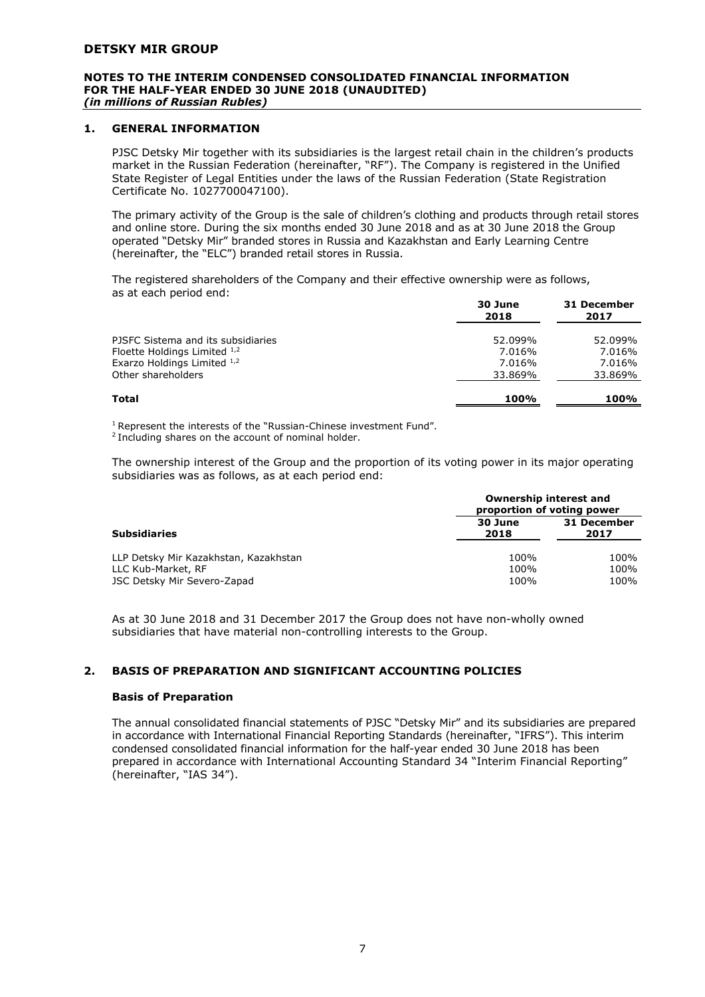#### **NOTES TO THE INTERIM CONDENSED CONSOLIDATED FINANCIAL INFORMATION FOR THE HALF-YEAR ENDED 30 JUNE 2018 (UNAUDITED)** *(in millions of Russian Rubles)*

#### **1. GENERAL INFORMATION**

PJSC Detsky Mir together with its subsidiaries is the largest retail chain in the children's products market in the Russian Federation (hereinafter, "RF"). The Company is registered in the Unified State Register of Legal Entities under the laws of the Russian Federation (State Registration Certificate No. 1027700047100).

The primary activity of the Group is the sale of children's clothing and products through retail stores and online store. During the six months ended 30 June 2018 and as at 30 June 2018 the Group operated "Detsky Mir" branded stores in Russia and Kazakhstan and Early Learning Centre (hereinafter, the "ELC") branded retail stores in Russia.

The registered shareholders of the Company and their effective ownership were as follows, as at each period end:

|                                                               | 30 June<br>2018  | 31 December<br>2017 |
|---------------------------------------------------------------|------------------|---------------------|
| PJSFC Sistema and its subsidiaries                            | 52.099%          | 52.099%             |
| Floette Holdings Limited $1,2$<br>Exarzo Holdings Limited 1,2 | 7.016%<br>7.016% | 7.016%              |
| Other shareholders                                            | 33.869%          | 7.016%<br>33.869%   |
| Total                                                         | <b>100%</b>      | 100%                |

<sup>1</sup> Represent the interests of the "Russian-Chinese investment Fund".

<sup>2</sup> Including shares on the account of nominal holder.

The ownership interest of the Group and the proportion of its voting power in its major operating subsidiaries was as follows, as at each period end:

|                                                   | Ownership interest and<br>proportion of voting power |              |
|---------------------------------------------------|------------------------------------------------------|--------------|
| <b>Subsidiaries</b>                               | 31 December<br>30 June<br>2018<br>2017               |              |
| LLP Detsky Mir Kazakhstan, Kazakhstan             | 100%                                                 | 100%         |
| LLC Kub-Market, RF<br>JSC Detsky Mir Severo-Zapad | 100%<br>100%                                         | 100%<br>100% |

As at 30 June 2018 and 31 December 2017 the Group does not have non-wholly owned subsidiaries that have material non-controlling interests to the Group.

#### **2. BASIS OF PREPARATION AND SIGNIFICANT ACCOUNTING POLICIES**

#### **Basis of Preparation**

The annual consolidated financial statements of PJSC "Detsky Mir" and its subsidiaries are prepared in accordance with International Financial Reporting Standards (hereinafter, "IFRS"). This interim condensed consolidated financial information for the half-year ended 30 June 2018 has been prepared in accordance with International Accounting Standard 34 "Interim Financial Reporting" (hereinafter, "IAS 34").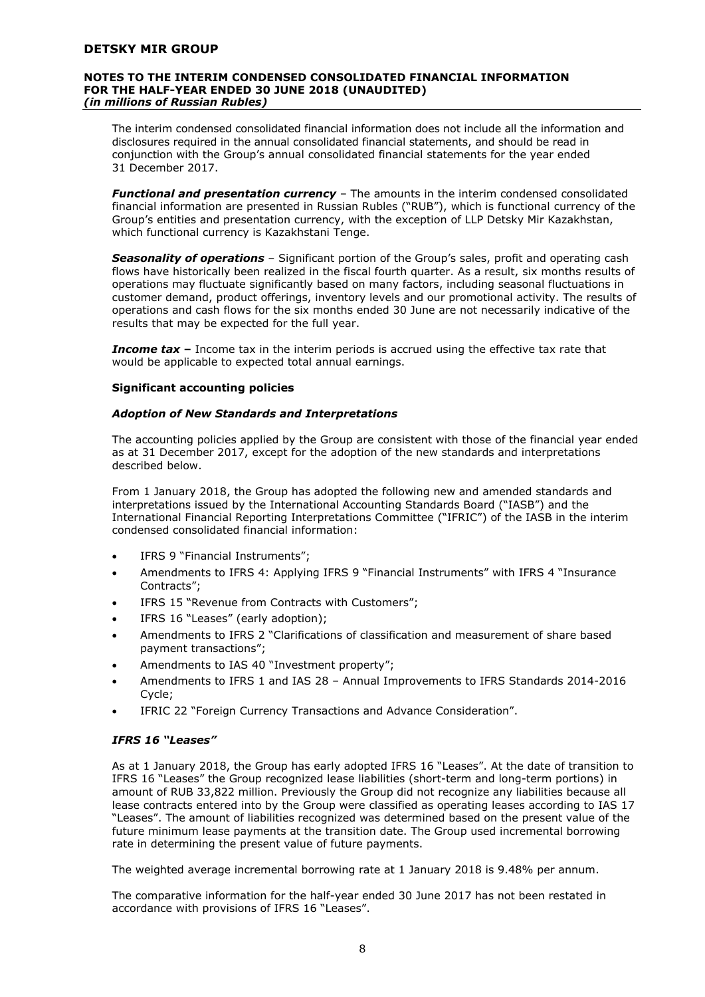#### **NOTES TO THE INTERIM CONDENSED CONSOLIDATED FINANCIAL INFORMATION FOR THE HALF-YEAR ENDED 30 JUNE 2018 (UNAUDITED)** *(in millions of Russian Rubles)*

The interim condensed consolidated financial information does not include all the information and disclosures required in the annual consolidated financial statements, and should be read in conjunction with the Group's annual consolidated financial statements for the year ended 31 December 2017.

*Functional and presentation currency* – The amounts in the interim condensed consolidated financial information are presented in Russian Rubles ("RUB"), which is functional currency of the Group's entities and presentation currency, with the exception of LLP Detsky Mir Kazakhstan, which functional currency is Kazakhstani Tenge.

*Seasonality of operations* – Significant portion of the Group's sales, profit and operating cash flows have historically been realized in the fiscal fourth quarter. As a result, six months results of operations may fluctuate significantly based on many factors, including seasonal fluctuations in customer demand, product offerings, inventory levels and our promotional activity. The results of operations and cash flows for the six months ended 30 June are not necessarily indicative of the results that may be expected for the full year.

**Income tax** – Income tax in the interim periods is accrued using the effective tax rate that would be applicable to expected total annual earnings.

#### **Significant accounting policies**

#### *Adoption of New Standards and Interpretations*

The accounting policies applied by the Group are consistent with those of the financial year ended as at 31 December 2017, except for the adoption of the new standards and interpretations described below.

From 1 January 2018, the Group has adopted the following new and amended standards and interpretations issued by the International Accounting Standards Board ("IASB") and the International Financial Reporting Interpretations Committee ("IFRIC") of the IASB in the interim condensed consolidated financial information:

- IFRS 9 "Financial Instruments";
- Amendments to IFRS 4: Applying IFRS 9 "Financial Instruments" with IFRS 4 "Insurance Contracts";
- IFRS 15 "Revenue from Contracts with Customers";
- IFRS 16 "Leases" (early adoption);
- Amendments to IFRS 2 "Clarifications of classification and measurement of share based payment transactions";
- Amendments to IAS 40 "Investment property";
- Amendments to IFRS 1 and IAS 28 Annual Improvements to IFRS Standards 2014-2016 Cycle;
- IFRIC 22 "Foreign Currency Transactions and Advance Consideration".

#### *IFRS 16 "Leases"*

As at 1 January 2018, the Group has early adopted IFRS 16 "Leases". At the date of transition to IFRS 16 "Leases" the Group recognized lease liabilities (short-term and long-term portions) in amount of RUB 33,822 million. Previously the Group did not recognize any liabilities because all lease contracts entered into by the Group were classified as operating leases according to IAS 17 "Leases". The amount of liabilities recognized was determined based on the present value of the future minimum lease payments at the transition date. The Group used incremental borrowing rate in determining the present value of future payments.

The weighted average incremental borrowing rate at 1 January 2018 is 9.48% per annum.

The comparative information for the half-year ended 30 June 2017 has not been restated in accordance with provisions of IFRS 16 "Leases".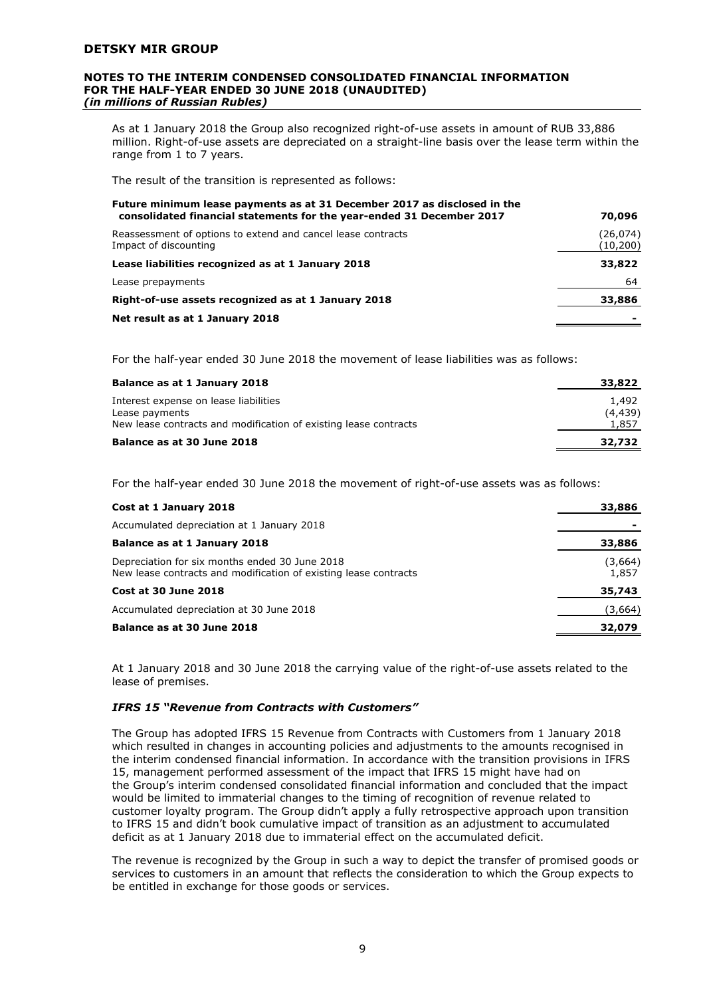#### **NOTES TO THE INTERIM CONDENSED CONSOLIDATED FINANCIAL INFORMATION FOR THE HALF-YEAR ENDED 30 JUNE 2018 (UNAUDITED)** *(in millions of Russian Rubles)*

As at 1 January 2018 the Group also recognized right-of-use assets in amount of RUB 33,886 million. Right-of-use assets are depreciated on a straight-line basis over the lease term within the range from 1 to 7 years.

The result of the transition is represented as follows:

| Future minimum lease payments as at 31 December 2017 as disclosed in the<br>consolidated financial statements for the year-ended 31 December 2017 | 70,096                 |
|---------------------------------------------------------------------------------------------------------------------------------------------------|------------------------|
| Reassessment of options to extend and cancel lease contracts<br>Impact of discounting                                                             | (26, 074)<br>(10, 200) |
| Lease liabilities recognized as at 1 January 2018                                                                                                 | 33,822                 |
| Lease prepayments                                                                                                                                 | 64                     |
| Right-of-use assets recognized as at 1 January 2018                                                                                               | 33,886                 |
| Net result as at 1 January 2018                                                                                                                   |                        |

For the half-year ended 30 June 2018 the movement of lease liabilities was as follows:

| Balance as at 1 January 2018                                                                                                | 33,822                     |
|-----------------------------------------------------------------------------------------------------------------------------|----------------------------|
| Interest expense on lease liabilities<br>Lease payments<br>New lease contracts and modification of existing lease contracts | 1,492<br>(4, 439)<br>1,857 |
| Balance as at 30 June 2018                                                                                                  | 32,732                     |

For the half-year ended 30 June 2018 the movement of right-of-use assets was as follows:

| Cost at 1 January 2018                                                                                             | 33,886           |
|--------------------------------------------------------------------------------------------------------------------|------------------|
| Accumulated depreciation at 1 January 2018                                                                         |                  |
| Balance as at 1 January 2018                                                                                       | 33,886           |
| Depreciation for six months ended 30 June 2018<br>New lease contracts and modification of existing lease contracts | (3,664)<br>1,857 |
| Cost at 30 June 2018                                                                                               | 35,743           |
| Accumulated depreciation at 30 June 2018                                                                           | (3,664)          |
| Balance as at 30 June 2018                                                                                         | 32,079           |

At 1 January 2018 and 30 June 2018 the carrying value of the right-of-use assets related to the lease of premises.

#### *IFRS 15 "Revenue from Contracts with Customers"*

The Group has adopted IFRS 15 Revenue from Contracts with Customers from 1 January 2018 which resulted in changes in accounting policies and adjustments to the amounts recognised in the interim condensed financial information. In accordance with the transition provisions in IFRS 15, management performed assessment of the impact that IFRS 15 might have had on the Group's interim condensed consolidated financial information and concluded that the impact would be limited to immaterial changes to the timing of recognition of revenue related to customer loyalty program. The Group didn't apply a fully retrospective approach upon transition to IFRS 15 and didn't book cumulative impact of transition as an adjustment to accumulated deficit as at 1 January 2018 due to immaterial effect on the accumulated deficit.

The revenue is recognized by the Group in such a way to depict the transfer of promised goods or services to customers in an amount that reflects the consideration to which the Group expects to be entitled in exchange for those goods or services.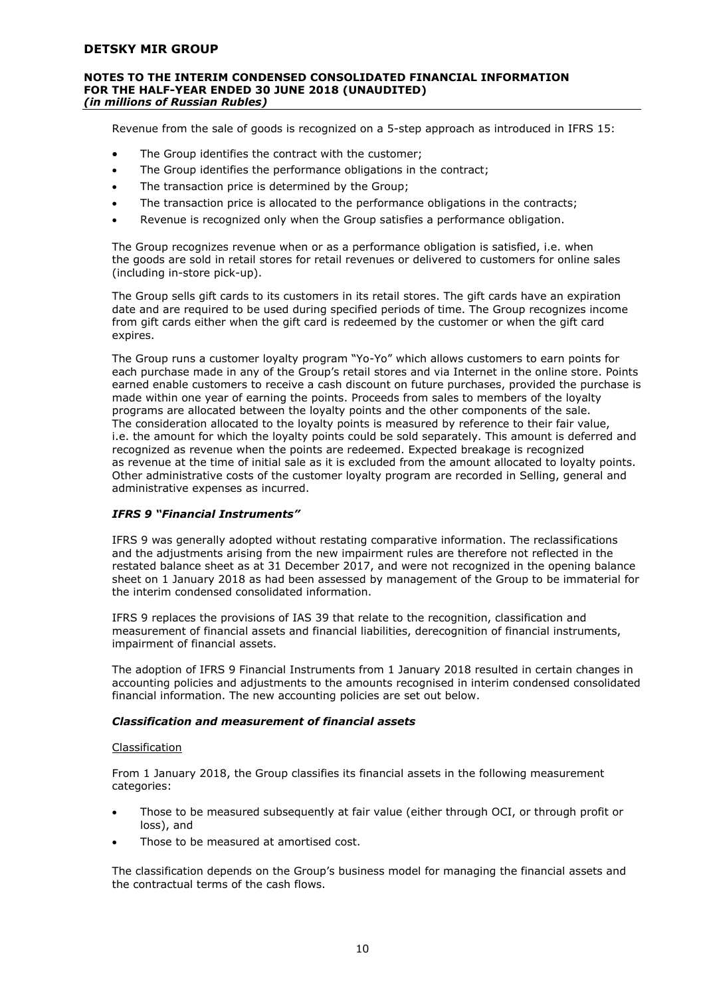#### **NOTES TO THE INTERIM CONDENSED CONSOLIDATED FINANCIAL INFORMATION FOR THE HALF-YEAR ENDED 30 JUNE 2018 (UNAUDITED)** *(in millions of Russian Rubles)*

Revenue from the sale of goods is recognized on a 5-step approach as introduced in IFRS 15:

- The Group identifies the contract with the customer;
- The Group identifies the performance obligations in the contract;
- The transaction price is determined by the Group;
- The transaction price is allocated to the performance obligations in the contracts;
- Revenue is recognized only when the Group satisfies a performance obligation.

The Group recognizes revenue when or as a performance obligation is satisfied, i.e. when the goods are sold in retail stores for retail revenues or delivered to customers for online sales (including in-store pick-up).

The Group sells gift cards to its customers in its retail stores. The gift cards have an expiration date and are required to be used during specified periods of time. The Group recognizes income from gift cards either when the gift card is redeemed by the customer or when the gift card expires.

The Group runs a customer loyalty program "Yo-Yo" which allows customers to earn points for each purchase made in any of the Group's retail stores and via Internet in the online store. Points earned enable customers to receive a cash discount on future purchases, provided the purchase is made within one year of earning the points. Proceeds from sales to members of the loyalty programs are allocated between the loyalty points and the other components of the sale. The consideration allocated to the loyalty points is measured by reference to their fair value, i.e. the amount for which the loyalty points could be sold separately. This amount is deferred and recognized as revenue when the points are redeemed. Expected breakage is recognized as revenue at the time of initial sale as it is excluded from the amount allocated to loyalty points. Other administrative costs of the customer loyalty program are recorded in Selling, general and administrative expenses as incurred.

#### *IFRS 9 "Financial Instruments"*

IFRS 9 was generally adopted without restating comparative information. The reclassifications and the adjustments arising from the new impairment rules are therefore not reflected in the restated balance sheet as at 31 December 2017, and were not recognized in the opening balance sheet on 1 January 2018 as had been assessed by management of the Group to be immaterial for the interim condensed consolidated information.

IFRS 9 replaces the provisions of IAS 39 that relate to the recognition, classification and measurement of financial assets and financial liabilities, derecognition of financial instruments, impairment of financial assets.

The adoption of IFRS 9 Financial Instruments from 1 January 2018 resulted in certain changes in accounting policies and adjustments to the amounts recognised in interim condensed consolidated financial information. The new accounting policies are set out below.

#### *Classification and measurement of financial assets*

#### Classification

From 1 January 2018, the Group classifies its financial assets in the following measurement categories:

- Those to be measured subsequently at fair value (either through OCI, or through profit or loss), and
- Those to be measured at amortised cost.

The classification depends on the Group's business model for managing the financial assets and the contractual terms of the cash flows.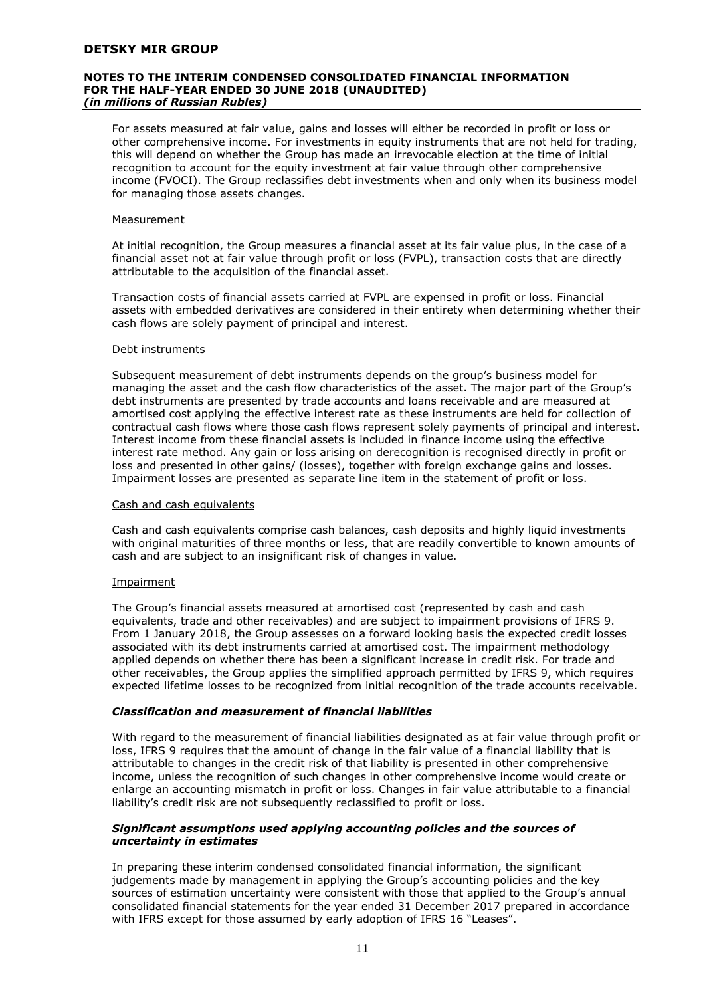#### **NOTES TO THE INTERIM CONDENSED CONSOLIDATED FINANCIAL INFORMATION FOR THE HALF-YEAR ENDED 30 JUNE 2018 (UNAUDITED)** *(in millions of Russian Rubles)*

For assets measured at fair value, gains and losses will either be recorded in profit or loss or other comprehensive income. For investments in equity instruments that are not held for trading, this will depend on whether the Group has made an irrevocable election at the time of initial recognition to account for the equity investment at fair value through other comprehensive income (FVOCI). The Group reclassifies debt investments when and only when its business model for managing those assets changes.

#### Measurement

At initial recognition, the Group measures a financial asset at its fair value plus, in the case of a financial asset not at fair value through profit or loss (FVPL), transaction costs that are directly attributable to the acquisition of the financial asset.

Transaction costs of financial assets carried at FVPL are expensed in profit or loss. Financial assets with embedded derivatives are considered in their entirety when determining whether their cash flows are solely payment of principal and interest.

#### Debt instruments

Subsequent measurement of debt instruments depends on the group's business model for managing the asset and the cash flow characteristics of the asset. The major part of the Group's debt instruments are presented by trade accounts and loans receivable and are measured at amortised cost applying the effective interest rate as these instruments are held for collection of contractual cash flows where those cash flows represent solely payments of principal and interest. Interest income from these financial assets is included in finance income using the effective interest rate method. Any gain or loss arising on derecognition is recognised directly in profit or loss and presented in other gains/ (losses), together with foreign exchange gains and losses. Impairment losses are presented as separate line item in the statement of profit or loss.

#### Cash and cash equivalents

Cash and cash equivalents comprise cash balances, cash deposits and highly liquid investments with original maturities of three months or less, that are readily convertible to known amounts of cash and are subject to an insignificant risk of changes in value.

#### Impairment

The Group's financial assets measured at amortised cost (represented by cash and cash equivalents, trade and other receivables) and are subject to impairment provisions of IFRS 9. From 1 January 2018, the Group assesses on a forward looking basis the expected credit losses associated with its debt instruments carried at amortised cost. The impairment methodology applied depends on whether there has been a significant increase in credit risk. For trade and other receivables, the Group applies the simplified approach permitted by IFRS 9, which requires expected lifetime losses to be recognized from initial recognition of the trade accounts receivable.

#### *Classification and measurement of financial liabilities*

With regard to the measurement of financial liabilities designated as at fair value through profit or loss, IFRS 9 requires that the amount of change in the fair value of a financial liability that is attributable to changes in the credit risk of that liability is presented in other comprehensive income, unless the recognition of such changes in other comprehensive income would create or enlarge an accounting mismatch in profit or loss. Changes in fair value attributable to a financial liability's credit risk are not subsequently reclassified to profit or loss.

#### *Significant assumptions used applying accounting policies and the sources of uncertainty in estimates*

In preparing these interim condensed consolidated financial information, the significant judgements made by management in applying the Group's accounting policies and the key sources of estimation uncertainty were consistent with those that applied to the Group's annual consolidated financial statements for the year ended 31 December 2017 prepared in accordance with IFRS except for those assumed by early adoption of IFRS 16 "Leases".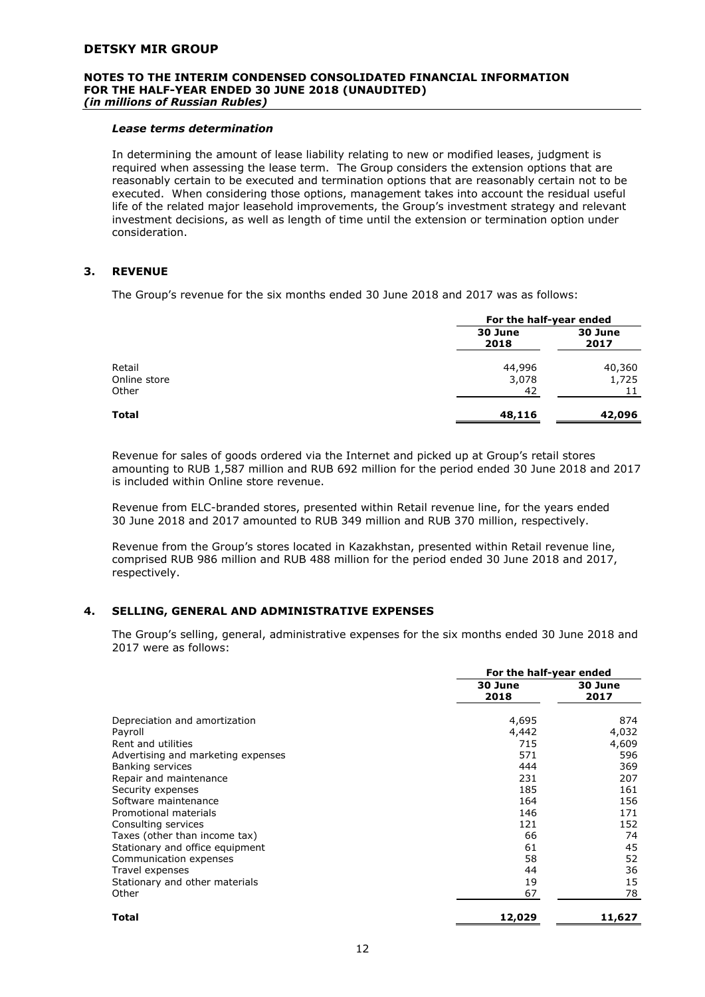#### **NOTES TO THE INTERIM CONDENSED CONSOLIDATED FINANCIAL INFORMATION FOR THE HALF-YEAR ENDED 30 JUNE 2018 (UNAUDITED)** *(in millions of Russian Rubles)*

#### *Lease terms determination*

In determining the amount of lease liability relating to new or modified leases, judgment is required when assessing the lease term. The Group considers the extension options that are reasonably certain to be executed and termination options that are reasonably certain not to be executed. When considering those options, management takes into account the residual useful life of the related major leasehold improvements, the Group's investment strategy and relevant investment decisions, as well as length of time until the extension or termination option under consideration.

#### **3. REVENUE**

The Group's revenue for the six months ended 30 June 2018 and 2017 was as follows:

|                                 |                       | For the half-year ended |  |
|---------------------------------|-----------------------|-------------------------|--|
|                                 | 30 June<br>2018       | 30 June<br>2017         |  |
| Retail<br>Online store<br>Other | 44,996<br>3,078<br>42 | 40,360<br>1,725         |  |
| Total                           | 48,116                | 42,096                  |  |

Revenue for sales of goods ordered via the Internet and picked up at Group's retail stores amounting to RUB 1,587 million and RUB 692 million for the period ended 30 June 2018 and 2017 is included within Online store revenue.

Revenue from ELC-branded stores, presented within Retail revenue line, for the years ended 30 June 2018 and 2017 amounted to RUB 349 million and RUB 370 million, respectively.

Revenue from the Group's stores located in Kazakhstan, presented within Retail revenue line, comprised RUB 986 million and RUB 488 million for the period ended 30 June 2018 and 2017, respectively.

#### **4. SELLING, GENERAL AND ADMINISTRATIVE EXPENSES**

The Group's selling, general, administrative expenses for the six months ended 30 June 2018 and 2017 were as follows:

|                                          | For the half-year ended |                 |  |
|------------------------------------------|-------------------------|-----------------|--|
|                                          | 30 June<br>2018         | 30 June<br>2017 |  |
| Depreciation and amortization<br>Payroll | 4,695<br>4,442          | 874<br>4,032    |  |
| Rent and utilities                       | 715                     | 4,609           |  |
| Advertising and marketing expenses       | 571                     | 596             |  |
| Banking services                         | 444                     | 369             |  |
| Repair and maintenance                   | 231                     | 207             |  |
| Security expenses                        | 185                     | 161             |  |
| Software maintenance                     | 164                     | 156             |  |
| Promotional materials                    | 146                     | 171             |  |
| Consulting services                      | 121                     | 152             |  |
| Taxes (other than income tax)            | 66                      | 74              |  |
| Stationary and office equipment          | 61                      | 45              |  |
| Communication expenses                   | 58                      | 52              |  |
| Travel expenses                          | 44                      | 36              |  |
| Stationary and other materials           | 19                      | 15              |  |
| Other                                    | 67                      | 78              |  |
| Total                                    | 12,029                  | 11,627          |  |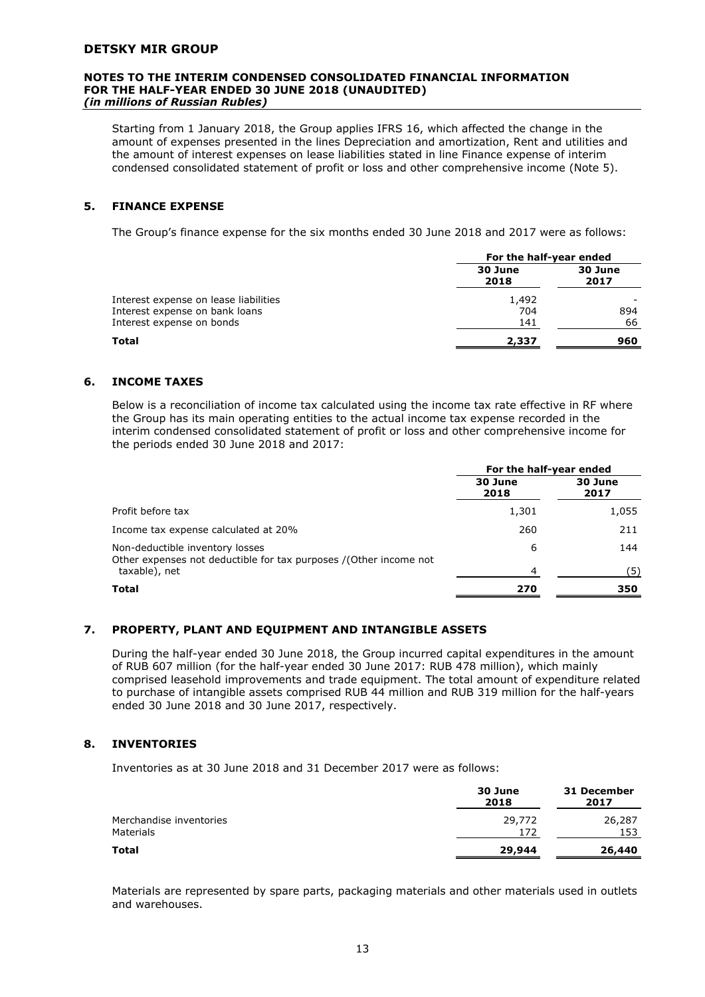#### **NOTES TO THE INTERIM CONDENSED CONSOLIDATED FINANCIAL INFORMATION FOR THE HALF-YEAR ENDED 30 JUNE 2018 (UNAUDITED)** *(in millions of Russian Rubles)*

Starting from 1 January 2018, the Group applies IFRS 16, which affected the change in the amount of expenses presented in the lines Depreciation and amortization, Rent and utilities and the amount of interest expenses on lease liabilities stated in line Finance expense of interim condensed consolidated statement of profit or loss and other comprehensive income (Note 5).

#### **5. FINANCE EXPENSE**

The Group's finance expense for the six months ended 30 June 2018 and 2017 were as follows:

|                                       | For the half-year ended |                 |
|---------------------------------------|-------------------------|-----------------|
|                                       | 30 June<br>2018         | 30 June<br>2017 |
| Interest expense on lease liabilities | 1,492                   |                 |
| Interest expense on bank loans        | 704                     | 894             |
| Interest expense on bonds             | 141                     | 66              |
| Total                                 | 2,337                   | 960             |

#### **6. INCOME TAXES**

Below is a reconciliation of income tax calculated using the income tax rate effective in RF where the Group has its main operating entities to the actual income tax expense recorded in the interim condensed consolidated statement of profit or loss and other comprehensive income for the periods ended 30 June 2018 and 2017:

|                                                                                                                       | For the half-year ended |                 |
|-----------------------------------------------------------------------------------------------------------------------|-------------------------|-----------------|
|                                                                                                                       | 30 June<br>2018         | 30 June<br>2017 |
| Profit before tax                                                                                                     | 1,301                   | 1,055           |
| Income tax expense calculated at 20%                                                                                  | 260                     | 211             |
| Non-deductible inventory losses<br>Other expenses not deductible for tax purposes /(Other income not<br>taxable), net | 6<br>4                  | 144<br>(5)      |
| <b>Total</b>                                                                                                          | 270                     | 350             |

#### **7. PROPERTY, PLANT AND EQUIPMENT AND INTANGIBLE ASSETS**

During the half-year ended 30 June 2018, the Group incurred capital expenditures in the amount of RUB 607 million (for the half-year ended 30 June 2017: RUB 478 million), which mainly comprised leasehold improvements and trade equipment. The total amount of expenditure related to purchase of intangible assets comprised RUB 44 million and RUB 319 million for the half-years ended 30 June 2018 and 30 June 2017, respectively.

#### **8. INVENTORIES**

Inventories as at 30 June 2018 and 31 December 2017 were as follows:

|                                      | 30 June<br>2018 | 31 December<br>2017 |
|--------------------------------------|-----------------|---------------------|
| Merchandise inventories<br>Materials | 29,772<br>172   | 26,287<br>153       |
| Total                                | 29,944          | 26,440              |

Materials are represented by spare parts, packaging materials and other materials used in outlets and warehouses.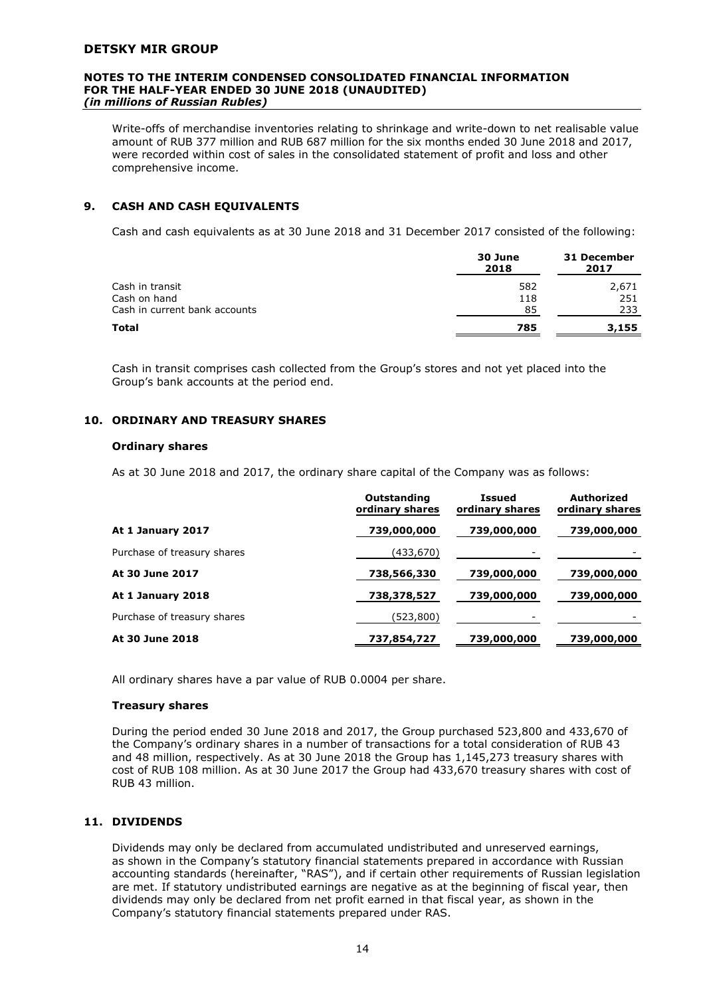#### **NOTES TO THE INTERIM CONDENSED CONSOLIDATED FINANCIAL INFORMATION FOR THE HALF-YEAR ENDED 30 JUNE 2018 (UNAUDITED)** *(in millions of Russian Rubles)*

Write-offs of merchandise inventories relating to shrinkage and write-down to net realisable value amount of RUB 377 million and RUB 687 million for the six months ended 30 June 2018 and 2017, were recorded within cost of sales in the consolidated statement of profit and loss and other comprehensive income.

#### **9. CASH AND CASH EQUIVALENTS**

Cash and cash equivalents as at 30 June 2018 and 31 December 2017 consisted of the following:

|                               | 30 June<br>2018 | 31 December<br>2017 |
|-------------------------------|-----------------|---------------------|
| Cash in transit               | 582             | 2,671               |
| Cash on hand                  | 118             | 251                 |
| Cash in current bank accounts | 85              | 233                 |
| Total                         | 785             | 3,155               |
|                               |                 |                     |

Cash in transit comprises cash collected from the Group's stores and not yet placed into the Group's bank accounts at the period end.

#### **10. ORDINARY AND TREASURY SHARES**

#### **Ordinary shares**

As at 30 June 2018 and 2017, the ordinary share capital of the Company was as follows:

|                             | Outstanding<br>ordinary shares | <b>Issued</b><br>ordinary shares | Authorized<br>ordinary shares |
|-----------------------------|--------------------------------|----------------------------------|-------------------------------|
| At 1 January 2017           | 739,000,000                    | 739,000,000                      | 739,000,000                   |
| Purchase of treasury shares | (433, 670)                     |                                  |                               |
| At 30 June 2017             | 738,566,330                    | 739,000,000                      | 739,000,000                   |
| At 1 January 2018           | 738,378,527                    | 739,000,000                      | 739,000,000                   |
| Purchase of treasury shares | (523,800)                      |                                  |                               |
| At 30 June 2018             | 737,854,727                    | 739,000,000                      | 739,000,000                   |

All ordinary shares have a par value of RUB 0.0004 per share.

#### **Treasury shares**

During the period ended 30 June 2018 and 2017, the Group purchased 523,800 and 433,670 of the Company's ordinary shares in a number of transactions for a total consideration of RUB 43 and 48 million, respectively. As at 30 June 2018 the Group has 1,145,273 treasury shares with cost of RUB 108 million. As at 30 June 2017 the Group had 433,670 treasury shares with cost of RUB 43 million.

#### **11. DIVIDENDS**

Dividends may only be declared from accumulated undistributed and unreserved earnings, as shown in the Company's statutory financial statements prepared in accordance with Russian accounting standards (hereinafter, "RAS"), and if certain other requirements of Russian legislation are met. If statutory undistributed earnings are negative as at the beginning of fiscal year, then dividends may only be declared from net profit earned in that fiscal year, as shown in the Company's statutory financial statements prepared under RAS.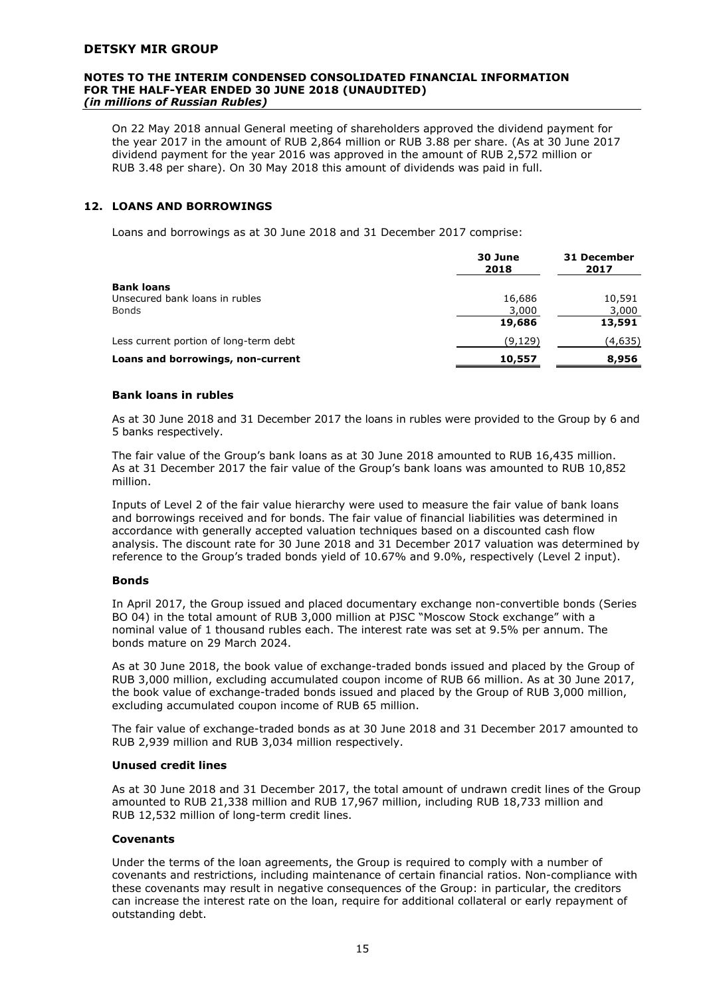#### **NOTES TO THE INTERIM CONDENSED CONSOLIDATED FINANCIAL INFORMATION FOR THE HALF-YEAR ENDED 30 JUNE 2018 (UNAUDITED)** *(in millions of Russian Rubles)*

On 22 May 2018 annual General meeting of shareholders approved the dividend payment for the year 2017 in the amount of RUB 2,864 million or RUB 3.88 per share. (As at 30 June 2017 dividend payment for the year 2016 was approved in the amount of RUB 2,572 million or RUB 3.48 per share). On 30 May 2018 this amount of dividends was paid in full.

#### **12. LOANS AND BORROWINGS**

Loans and borrowings as at 30 June 2018 and 31 December 2017 comprise:

| 30 June<br>2018 | 31 December<br>2017 |
|-----------------|---------------------|
|                 |                     |
| 16,686          | 10,591              |
| 3,000           | 3,000               |
| 19,686          | 13,591              |
| (9,129)         | (4,635)             |
| 10,557          | 8,956               |
|                 |                     |

#### **Bank loans in rubles**

As at 30 June 2018 and 31 December 2017 the loans in rubles were provided to the Group by 6 and 5 banks respectively.

The fair value of the Group's bank loans as at 30 June 2018 amounted to RUB 16,435 million. As at 31 December 2017 the fair value of the Group's bank loans was amounted to RUB 10,852 million.

Inputs of Level 2 of the fair value hierarchy were used to measure the fair value of bank loans and borrowings received and for bonds. The fair value of financial liabilities was determined in accordance with generally accepted valuation techniques based on a discounted cash flow analysis. The discount rate for 30 June 2018 and 31 December 2017 valuation was determined by reference to the Group's traded bonds yield of 10.67% and 9.0%, respectively (Level 2 input).

#### **Bonds**

In April 2017, the Group issued and placed documentary exchange non-convertible bonds (Series BO 04) in the total amount of RUB 3,000 million at PJSC "Moscow Stock exchange" with a nominal value of 1 thousand rubles each. The interest rate was set at 9.5% per annum. The bonds mature on 29 March 2024.

As at 30 June 2018, the book value of exchange-traded bonds issued and placed by the Group of RUB 3,000 million, excluding accumulated coupon income of RUB 66 million. As at 30 June 2017, the book value of exchange-traded bonds issued and placed by the Group of RUB 3,000 million, excluding accumulated coupon income of RUB 65 million.

The fair value of exchange-traded bonds as at 30 June 2018 and 31 December 2017 amounted to RUB 2,939 million and RUB 3,034 million respectively.

#### **Unused credit lines**

As at 30 June 2018 and 31 December 2017, the total amount of undrawn credit lines of the Group amounted to RUB 21,338 million and RUB 17,967 million, including RUB 18,733 million and RUB 12,532 million of long-term credit lines.

#### **Covenants**

Under the terms of the loan agreements, the Group is required to comply with a number of covenants and restrictions, including maintenance of certain financial ratios. Non-compliance with these covenants may result in negative consequences of the Group: in particular, the creditors can increase the interest rate on the loan, require for additional collateral or early repayment of outstanding debt.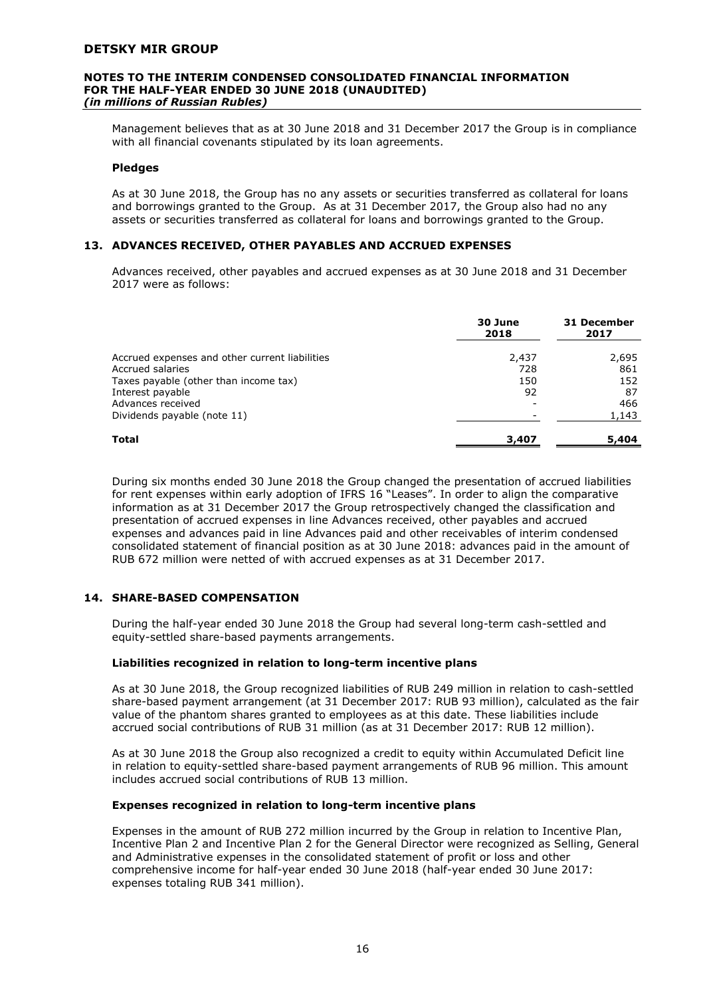#### **NOTES TO THE INTERIM CONDENSED CONSOLIDATED FINANCIAL INFORMATION FOR THE HALF-YEAR ENDED 30 JUNE 2018 (UNAUDITED)** *(in millions of Russian Rubles)*

Management believes that as at 30 June 2018 and 31 December 2017 the Group is in compliance with all financial covenants stipulated by its loan agreements.

#### **Pledges**

As at 30 June 2018, the Group has no any assets or securities transferred as collateral for loans and borrowings granted to the Group. As at 31 December 2017, the Group also had no any assets or securities transferred as collateral for loans and borrowings granted to the Group.

#### **13. ADVANCES RECEIVED, OTHER PAYABLES AND ACCRUED EXPENSES**

Advances received, other payables and accrued expenses as at 30 June 2018 and 31 December 2017 were as follows:

|                                                                    | 30 June<br>2018 | 31 December<br>2017 |
|--------------------------------------------------------------------|-----------------|---------------------|
| Accrued expenses and other current liabilities<br>Accrued salaries | 2,437<br>728    | 2,695<br>861        |
| Taxes payable (other than income tax)<br>Interest payable          | 150<br>92       | 152<br>87           |
| Advances received<br>Dividends payable (note 11)                   |                 | 466<br>1,143        |
| Total                                                              | 3,407           | 5,404               |

During six months ended 30 June 2018 the Group changed the presentation of accrued liabilities for rent expenses within early adoption of IFRS 16 "Leases". In order to align the comparative information as at 31 December 2017 the Group retrospectively changed the classification and presentation of accrued expenses in line Advances received, other payables and accrued expenses and advances paid in line Advances paid and other receivables of interim condensed consolidated statement of financial position as at 30 June 2018: advances paid in the amount of RUB 672 million were netted of with accrued expenses as at 31 December 2017.

#### **14. SHARE-BASED COMPENSATION**

During the half-year ended 30 June 2018 the Group had several long-term cash-settled and equity-settled share-based payments arrangements.

#### **Liabilities recognized in relation to long-term incentive plans**

As at 30 June 2018, the Group recognized liabilities of RUB 249 million in relation to cash-settled share-based payment arrangement (at 31 December 2017: RUB 93 million), calculated as the fair value of the phantom shares granted to employees as at this date. These liabilities include accrued social contributions of RUB 31 million (as at 31 December 2017: RUB 12 million).

As at 30 June 2018 the Group also recognized a credit to equity within Accumulated Deficit line in relation to equity-settled share-based payment arrangements of RUB 96 million. This amount includes accrued social contributions of RUB 13 million.

#### **Expenses recognized in relation to long-term incentive plans**

Expenses in the amount of RUB 272 million incurred by the Group in relation to Incentive Plan, Incentive Plan 2 and Incentive Plan 2 for the General Director were recognized as Selling, General and Administrative expenses in the consolidated statement of profit or loss and other comprehensive income for half-year ended 30 June 2018 (half-year ended 30 June 2017: expenses totaling RUB 341 million).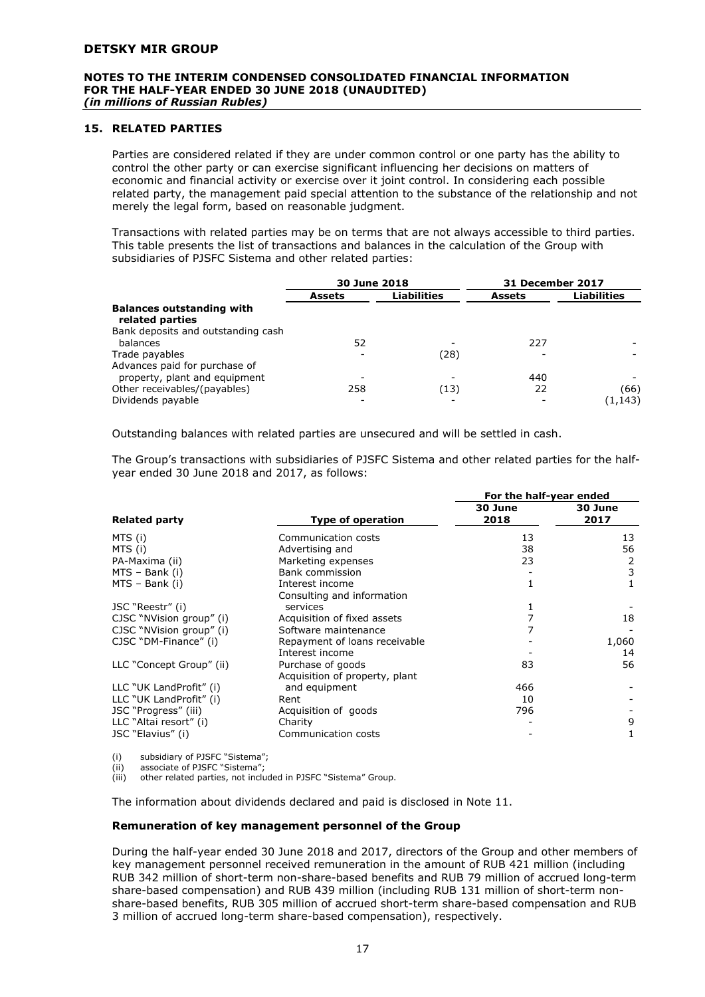#### **NOTES TO THE INTERIM CONDENSED CONSOLIDATED FINANCIAL INFORMATION FOR THE HALF-YEAR ENDED 30 JUNE 2018 (UNAUDITED)** *(in millions of Russian Rubles)*

#### **15. RELATED PARTIES**

Parties are considered related if they are under common control or one party has the ability to control the other party or can exercise significant influencing her decisions on matters of economic and financial activity or exercise over it joint control. In considering each possible related party, the management paid special attention to the substance of the relationship and not merely the legal form, based on reasonable judgment.

Transactions with related parties may be on terms that are not always accessible to third parties. This table presents the list of transactions and balances in the calculation of the Group with subsidiaries of PJSFC Sistema and other related parties:

|                                                     | 30 June 2018  |                    | <b>31 December 2017</b> |                    |
|-----------------------------------------------------|---------------|--------------------|-------------------------|--------------------|
|                                                     | <b>Assets</b> | <b>Liabilities</b> | <b>Assets</b>           | <b>Liabilities</b> |
| <b>Balances outstanding with</b><br>related parties |               |                    |                         |                    |
| Bank deposits and outstanding cash                  |               |                    |                         |                    |
| balances                                            | 52            |                    | 227                     |                    |
| Trade payables                                      |               | (28)               |                         |                    |
| Advances paid for purchase of                       |               |                    |                         |                    |
| property, plant and equipment                       |               |                    | 440                     |                    |
| Other receivables/(payables)                        | 258           | (13)               | 22                      | (66)               |
| Dividends payable                                   |               |                    |                         | (1,143)            |

Outstanding balances with related parties are unsecured and will be settled in cash.

The Group's transactions with subsidiaries of PJSFC Sistema and other related parties for the halfyear ended 30 June 2018 and 2017, as follows:

|                          |                                | For the half-year ended |                 |  |
|--------------------------|--------------------------------|-------------------------|-----------------|--|
| <b>Related party</b>     | <b>Type of operation</b>       | 30 June<br>2018         | 30 June<br>2017 |  |
| MTS (i)                  | Communication costs            | 13                      | 13              |  |
| MTS (i)                  | Advertising and                | 38                      | 56              |  |
| PA-Maxima (ii)           | Marketing expenses             | 23                      | 2               |  |
| $MTS - Bank (i)$         | Bank commission                |                         | 3               |  |
| $MTS - Bank (i)$         | Interest income                | 1                       |                 |  |
|                          | Consulting and information     |                         |                 |  |
| JSC "Reestr" (i)         | services                       | 1                       |                 |  |
| CJSC "NVision group" (i) | Acquisition of fixed assets    |                         | 18              |  |
| CJSC "NVision group" (i) | Software maintenance           |                         |                 |  |
| CJSC "DM-Finance" (i)    | Repayment of loans receivable  |                         | 1,060           |  |
|                          | Interest income                |                         | 14              |  |
| LLC "Concept Group" (ii) | Purchase of goods              | 83                      | 56              |  |
|                          | Acquisition of property, plant |                         |                 |  |
| LLC "UK LandProfit" (i)  | and equipment                  | 466                     |                 |  |
| LLC "UK LandProfit" (i)  | Rent                           | 10                      |                 |  |
| JSC "Progress" (iii)     | Acquisition of goods           | 796                     |                 |  |
| LLC "Altai resort" (i)   | Charity                        |                         | 9               |  |
| JSC "Elavius" (i)        | Communication costs            |                         | 1               |  |

(i) subsidiary of PJSFC "Sistema";

(ii) associate of PJSFC "Sistema";<br>(iii) other related parties, not inclu other related parties, not included in PJSFC "Sistema" Group.

The information about dividends declared and paid is disclosed in Note 11.

#### **Remuneration of key management personnel of the Group**

During the half-year ended 30 June 2018 and 2017, directors of the Group and other members of key management personnel received remuneration in the amount of RUB 421 million (including RUB 342 million of short-term non-share-based benefits and RUB 79 million of accrued long-term share-based compensation) and RUB 439 million (including RUB 131 million of short-term nonshare-based benefits, RUB 305 million of accrued short-term share-based compensation and RUB 3 million of accrued long-term share-based compensation), respectively.